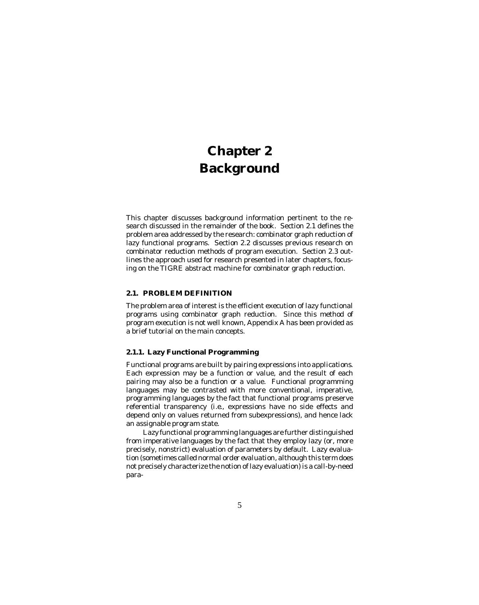This chapter discusses background information pertinent to the research discussed in the remainder of the book. Section 2.1 defines the problem area addressed by the research: combinator graph reduction of lazy functional programs. Section 2.2 discusses previous research on combinator reduction methods of program execution. Section 2.3 outlines the approach used for research presented in later chapters, focusing on the TIGRE abstract machine for combinator graph reduction.

#### **2.1. PROBLEM DEFINITION**

The problem area of interest is the efficient execution of lazy functional programs using combinator graph reduction. Since this method of program execution is not well known, Appendix A has been provided as a brief tutorial on the main concepts.

## **2.1.1. Lazy Functional Programming**

Functional programs are built by pairing expressions into *applications*. Each expression may be a function or value, and the result of each pairing may also be a function or a value. Functional programming languages may be contrasted with more conventional, imperative, programming languages by the fact that functional programs preserve referential transparency (*i.e.*, expressions have no side effects and depend only on values returned from subexpressions), and hence lack an assignable program state.

*Lazy* functional programming languages are further distinguished from imperative languages by the fact that they employ lazy (or, more precisely, nonstrict) evaluation of parameters by default. Lazy evaluation (sometimes called *normal order evaluation*, although this term does not precisely characterize the notion of lazy evaluation) is a call-by-need para-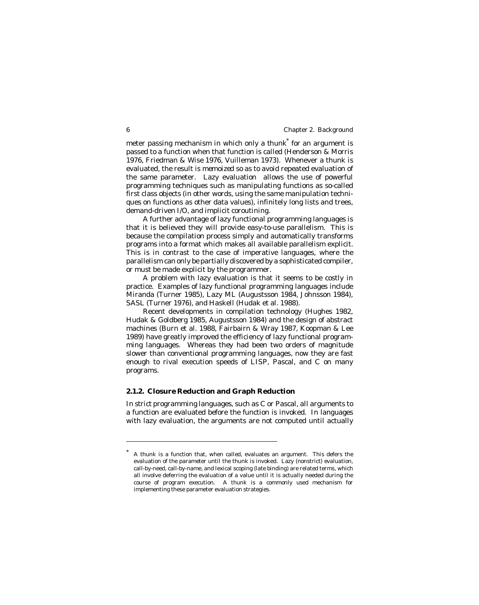meter passing mechanism in which only a *thunk*\* for an argument is passed to a function when that function is called (Henderson & Morris 1976, Friedman & Wise 1976, Vuilleman 1973). Whenever a thunk is evaluated, the result is *memoized* so as to avoid repeated evaluation of the same parameter. Lazy evaluation allows the use of powerful programming techniques such as manipulating functions as so-called first class objects (in other words, using the same manipulation techniques on functions as other data values), infinitely long lists and trees, demand-driven I/O, and implicit coroutining.

A further advantage of lazy functional programming languages is that it is believed they will provide easy-to-use parallelism. This is because the compilation process simply and automatically transforms programs into a format which makes all available parallelism explicit. This is in contrast to the case of imperative languages, where the parallelism can only be partially discovered by a sophisticated compiler, or must be made explicit by the programmer.

A problem with lazy evaluation is that it seems to be costly in practice. Examples of lazy functional programming languages include Miranda (Turner 1985), Lazy ML (Augustsson 1984, Johnsson 1984), SASL (Turner 1976), and Haskell (Hudak et al. 1988).

Recent developments in compilation technology (Hughes 1982, Hudak & Goldberg 1985, Augustsson 1984) and the design of abstract machines (Burn et al. 1988, Fairbairn & Wray 1987, Koopman & Lee 1989) have greatly improved the efficiency of lazy functional programming languages. Whereas they had been two orders of magnitude slower than conventional programming languages, now they are fast enough to rival execution speeds of LISP, Pascal, and C on many programs.

# **2.1.2. Closure Reduction and Graph Reduction**

In *strict* programming languages, such as C or Pascal, all arguments to a function are evaluated before the function is invoked. In languages with lazy evaluation, the arguments are not computed until actually

A thunk is a function that, when called, evaluates an argument. This defers the evaluation of the parameter until the thunk is invoked. Lazy (nonstrict) evaluation, call-by-need, call-by-name, and lexical scoping (late binding) are related terms, which all involve deferring the evaluation of a value until it is actually needed during the course of program execution. A thunk is a commonly used mechanism for implementing these parameter evaluation strategies.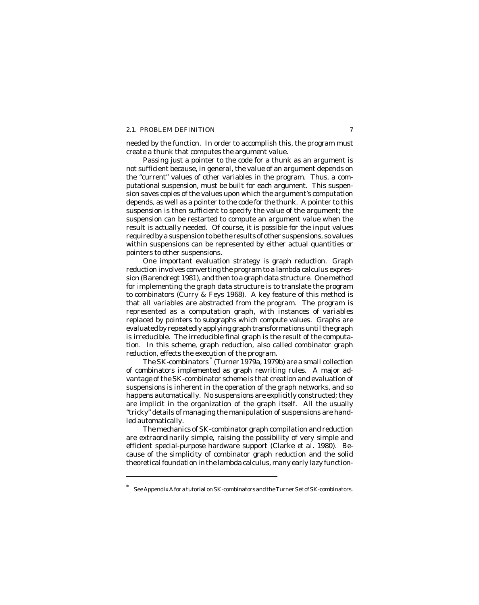#### 2.1. PROBLEM DEFINITION 7

needed by the function. In order to accomplish this, the program must create a thunk that computes the argument value.

Passing just a pointer to the code for a thunk as an argument is not sufficient because, in general, the value of an argument depends on the "current" values of other variables in the program. Thus, a computational *suspension*, must be built for each argument. This suspension saves copies of the values upon which the argument's computation depends, as well as a pointer to the code for the thunk. A pointer to this suspension is then sufficient to specify the value of the argument; the suspension can be restarted to compute an argument value when the result is actually needed. Of course, it is possible for the input values required by a suspension to be the results of other suspensions, so values within suspensions can be represented by either actual quantities or pointers to other suspensions.

One important evaluation strategy is *graph reduction*. Graph reduction involves converting the program to a lambda calculus expression (Barendregt 1981), and then to a graph data structure. One method for implementing the graph data structure is to translate the program to combinators (Curry & Feys 1968). A key feature of this method is that all variables are abstracted from the program. The program is represented as a computation graph, with instances of variables replaced by pointers to subgraphs which compute values. Graphs are evaluated by repeatedly applying graph transformations until the graph is irreducible. The irreducible final graph is the result of the computation. In this scheme, graph reduction, also called *combinator graph reduction*, effects the execution of the program.

The *SK-combinators* \* (Turner 1979a, 1979b) are a small collection of combinators implemented as graph rewriting rules. A major advantage of the SK-combinator scheme is that creation and evaluation of suspensions is inherent in the operation of the graph networks, and so happens automatically. No suspensions are explicitly constructed; they are implicit in the organization of the graph itself. All the usually "tricky" details of managing the manipulation of suspensions are handled automatically.

The mechanics of SK-combinator graph compilation and reduction are extraordinarily simple, raising the possibility of very simple and efficient special-purpose hardware support (Clarke *et al.* 1980). Because of the simplicity of combinator graph reduction and the solid theoretical foundation in the lambda calculus, many early lazy function-

See Appendix A for a tutorial on SK-combinators and the Turner Set of SK-combinators.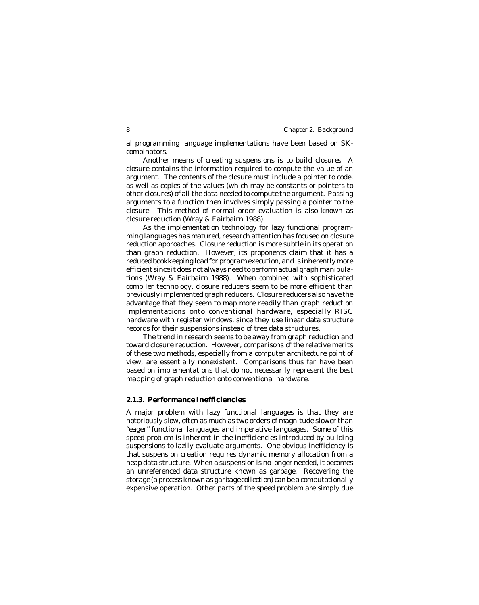al programming language implementations have been based on SKcombinators.

Another means of creating suspensions is to build *closures*. A closure contains the information required to compute the value of an argument. The contents of the closure must include a pointer to code, as well as copies of the values (which may be constants or pointers to other closures) of all the data needed to compute the argument. Passing arguments to a function then involves simply passing a pointer to the closure. This method of normal order evaluation is also known as *closure reduction* (Wray & Fairbairn 1988).

As the implementation technology for lazy functional programming languages has matured, research attention has focused on closure reduction approaches. Closure reduction is more subtle in its operation than graph reduction. However, its proponents claim that it has a reduced bookkeeping load for program execution, and is inherently more efficient since it does not always need to perform actual graph manipulations (Wray & Fairbairn 1988). When combined with sophisticated compiler technology, closure reducers seem to be more efficient than previously implemented graph reducers. Closure reducers also have the advantage that they seem to map more readily than graph reduction implementations onto conventional hardware, especially RISC hardware with register windows, since they use linear data structure records for their suspensions instead of tree data structures.

The trend in research seems to be away from graph reduction and toward closure reduction. However, comparisons of the relative merits of these two methods, especially from a computer architecture point of view, are essentially nonexistent. Comparisons thus far have been based on implementations that do not necessarily represent the best mapping of graph reduction onto conventional hardware.

## **2.1.3. Performance Inefficiencies**

A major problem with lazy functional languages is that they are notoriously slow, often as much as two orders of magnitude slower than "eager" functional languages and imperative languages. Some of this speed problem is inherent in the inefficiencies introduced by building suspensions to lazily evaluate arguments. One obvious inefficiency is that suspension creation requires dynamic memory allocation from a heap data structure. When a suspension is no longer needed, it becomes an unreferenced data structure known as garbage. Recovering the storage (a process known as *garbage collection*) can be a computationally expensive operation. Other parts of the speed problem are simply due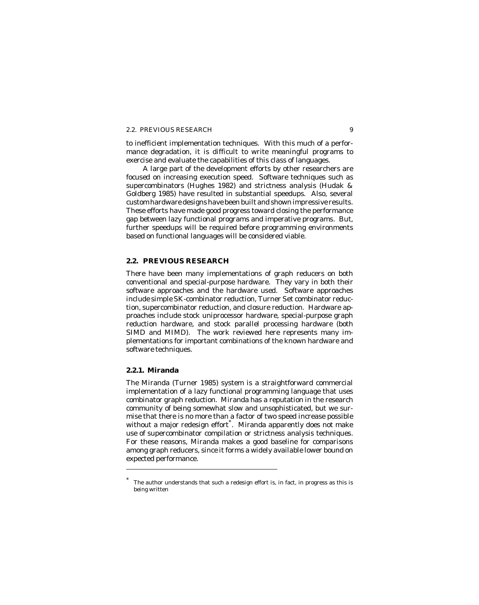#### 2.2. PREVIOUS RESEARCH 9

to inefficient implementation techniques. With this much of a performance degradation, it is difficult to write meaningful programs to exercise and evaluate the capabilities of this class of languages.

A large part of the development efforts by other researchers are focused on increasing execution speed. Software techniques such as supercombinators (Hughes 1982) and strictness analysis (Hudak & Goldberg 1985) have resulted in substantial speedups. Also, several custom hardware designs have been built and shown impressive results. These efforts have made good progress toward closing the performance gap between lazy functional programs and imperative programs. But, further speedups will be required before programming environments based on functional languages will be considered viable.

## **2.2. PREVIOUS RESEARCH**

There have been many implementations of graph reducers on both conventional and special-purpose hardware. They vary in both their software approaches and the hardware used. Software approaches include simple SK-combinator reduction, Turner Set combinator reduction, supercombinator reduction, and closure reduction. Hardware approaches include stock uniprocessor hardware, special-purpose graph reduction hardware, and stock parallel processing hardware (both SIMD and MIMD). The work reviewed here represents many implementations for important combinations of the known hardware and software techniques.

## **2.2.1. Miranda**

The Miranda (Turner 1985) system is a straightforward commercial implementation of a lazy functional programming language that uses combinator graph reduction. Miranda has a reputation in the research community of being somewhat slow and unsophisticated, but we surmise that there is no more than a factor of two speed increase possible without a major redesign effort<sup>\*</sup>. Miranda apparently does not make use of supercombinator compilation or strictness analysis techniques. For these reasons, Miranda makes a good baseline for comparisons among graph reducers, since it forms a widely available lower bound on expected performance.

The author understands that such a redesign effort is, in fact, in progress as this is being written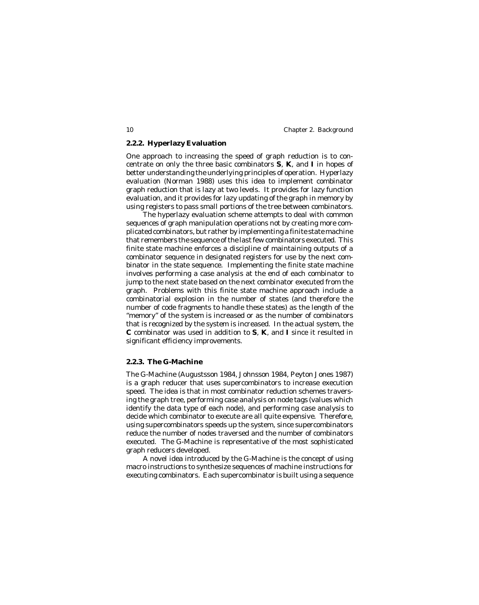## **2.2.2. Hyperlazy Evaluation**

One approach to increasing the speed of graph reduction is to concentrate on only the three basic combinators **S**, **K**, and **I** in hopes of better understanding the underlying principles of operation. Hyperlazy evaluation (Norman 1988) uses this idea to implement combinator graph reduction that is lazy at two levels. It provides for lazy function evaluation, and it provides for lazy updating of the graph in memory by using registers to pass small portions of the tree between combinators.

The hyperlazy evaluation scheme attempts to deal with common sequences of graph manipulation operations not by creating more complicated combinators, but rather by implementing a finite state machine that remembers the sequence of the last few combinators executed. This finite state machine enforces a discipline of maintaining outputs of a combinator sequence in designated registers for use by the next combinator in the state sequence. Implementing the finite state machine involves performing a case analysis at the end of each combinator to jump to the next state based on the next combinator executed from the graph. Problems with this finite state machine approach include a combinatorial explosion in the number of states (and therefore the number of code fragments to handle these states) as the length of the "memory" of the system is increased or as the number of combinators that is recognized by the system is increased. In the actual system, the **C** combinator was used in addition to **S**, **K**, and **I** since it resulted in significant efficiency improvements.

## **2.2.3. The G-Machine**

The G-Machine (Augustsson 1984, Johnsson 1984, Peyton Jones 1987) is a graph reducer that uses supercombinators to increase execution speed. The idea is that in most combinator reduction schemes traversing the graph tree, performing case analysis on node *tags* (values which identify the data type of each node), and performing case analysis to decide which combinator to execute are all quite expensive. Therefore, using supercombinators speeds up the system, since supercombinators reduce the number of nodes traversed and the number of combinators executed. The G-Machine is representative of the most sophisticated graph reducers developed.

A novel idea introduced by the G-Machine is the concept of using macro instructions to synthesize sequences of machine instructions for executing combinators. Each supercombinator is built using a sequence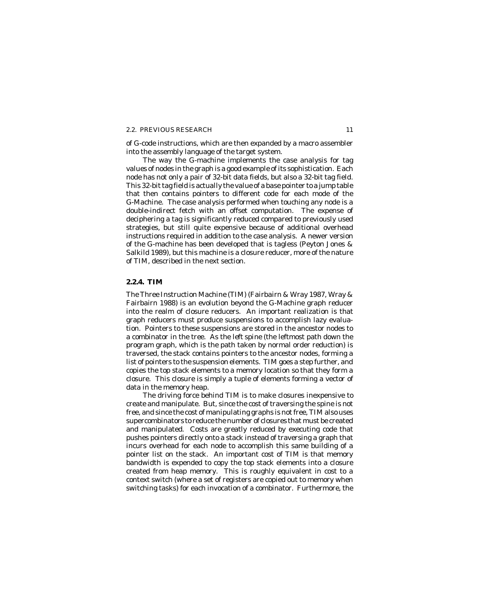#### 2.2. PREVIOUS RESEARCH 11

of G-code instructions, which are then expanded by a macro assembler into the assembly language of the target system.

The way the G-machine implements the case analysis for tag values of nodes in the graph is a good example of its sophistication. Each node has not only a pair of 32-bit data fields, but also a 32-bit tag field. This 32-bit tag field is actually the value of a base pointer to a jump table that then contains pointers to different code for each mode of the G-Machine. The case analysis performed when touching any node is a double-indirect fetch with an offset computation. The expense of deciphering a tag is significantly reduced compared to previously used strategies, but still quite expensive because of additional overhead instructions required in addition to the case analysis. A newer version of the G-machine has been developed that is tagless (Peyton Jones & Salkild 1989), but this machine is a closure reducer, more of the nature of TIM, described in the next section.

#### **2.2.4. TIM**

The Three Instruction Machine (TIM) (Fairbairn & Wray 1987, Wray & Fairbairn 1988) is an evolution beyond the G-Machine graph reducer into the realm of closure reducers. An important realization is that graph reducers must produce suspensions to accomplish lazy evaluation. Pointers to these suspensions are stored in the ancestor nodes to a combinator in the tree. As the *left spine* (the leftmost path down the program graph, which is the path taken by normal order reduction) is traversed, the stack contains pointers to the ancestor nodes, forming a list of pointers to the suspension elements. TIM goes a step further, and copies the top stack elements to a memory location so that they form a closure. This closure is simply a tuple of elements forming a vector of data in the memory heap.

The driving force behind TIM is to make closures inexpensive to create and manipulate. But, since the cost of traversing the spine is not free, and since the cost of manipulating graphs is not free, TIM also uses supercombinators to reduce the number of closures that must be created and manipulated. Costs are greatly reduced by executing code that pushes pointers directly onto a stack instead of traversing a graph that incurs overhead for each node to accomplish this same building of a pointer list on the stack. An important cost of TIM is that memory bandwidth is expended to copy the top stack elements into a closure created from heap memory. This is roughly equivalent in cost to a context switch (where a set of registers are copied out to memory when switching tasks) for each invocation of a combinator. Furthermore, the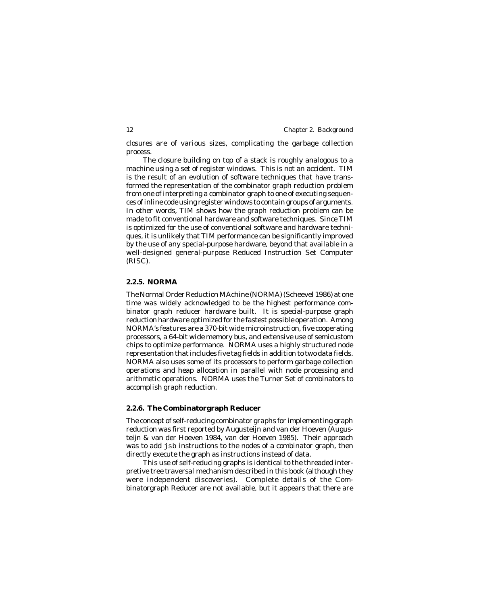closures are of various sizes, complicating the garbage collection process.

The closure building on top of a stack is roughly analogous to a machine using a set of register windows. This is not an accident. TIM is the result of an evolution of software techniques that have transformed the representation of the combinator graph reduction problem from one of interpreting a combinator graph to one of executing sequences of inline code using register windows to contain groups of arguments. In other words, TIM shows how the graph reduction problem can be made to fit conventional hardware and software techniques. Since TIM is optimized for the use of conventional software and hardware techniques, it is unlikely that TIM performance can be significantly improved by the use of any special-purpose hardware, beyond that available in a well-designed general-purpose Reduced Instruction Set Computer (RISC).

#### **2.2.5. NORMA**

The Normal Order Reduction MAchine (NORMA) (Scheevel 1986) at one time was widely acknowledged to be the highest performance combinator graph reducer hardware built. It is special-purpose graph reduction hardware optimized for the fastest possible operation. Among NORMA's features are a 370-bit wide microinstruction, five cooperating processors, a 64-bit wide memory bus, and extensive use of semicustom chips to optimize performance. NORMA uses a highly structured node representation that includes five tag fields in addition to two data fields. NORMA also uses some of its processors to perform garbage collection operations and heap allocation in parallel with node processing and arithmetic operations. NORMA uses the Turner Set of combinators to accomplish graph reduction.

#### **2.2.6. The Combinatorgraph Reducer**

The concept of self-reducing combinator graphs for implementing graph reduction was first reported by Augusteijn and van der Hoeven (Augusteijn & van der Hoeven 1984, van der Hoeven 1985). Their approach was to add jsb instructions to the nodes of a combinator graph, then directly execute the graph as instructions instead of data.

This use of self-reducing graphs is identical to the threaded interpretive tree traversal mechanism described in this book (although they were independent discoveries). Complete details of the Combinatorgraph Reducer are not available, but it appears that there are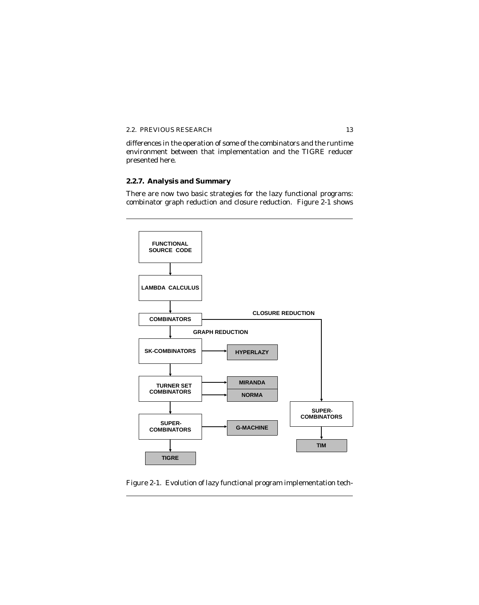2.2. PREVIOUS RESEARCH 13

differences in the operation of some of the combinators and the runtime environment between that implementation and the TIGRE reducer presented here.

## **2.2.7. Analysis and Summary**

There are now two basic strategies for the lazy functional programs: combinator graph reduction and closure reduction. Figure 2-1 shows



Figure 2-1. Evolution of lazy functional program implementation tech-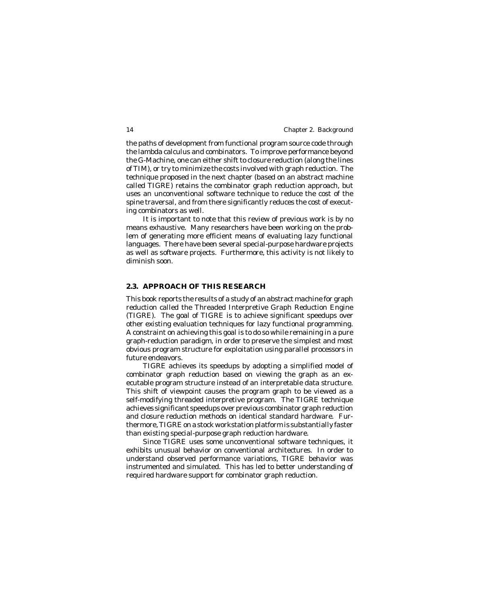the paths of development from functional program source code through the lambda calculus and combinators. To improve performance beyond the G-Machine, one can either shift to closure reduction (along the lines of TIM), or try to minimize the costs involved with graph reduction. The technique proposed in the next chapter (based on an abstract machine called TIGRE) retains the combinator graph reduction approach, but uses an unconventional software technique to reduce the cost of the spine traversal, and from there significantly reduces the cost of executing combinators as well.

It is important to note that this review of previous work is by no means exhaustive. Many researchers have been working on the problem of generating more efficient means of evaluating lazy functional languages. There have been several special-purpose hardware projects as well as software projects. Furthermore, this activity is not likely to diminish soon.

## **2.3. APPROACH OF THIS RESEARCH**

This book reports the results of a study of an abstract machine for graph reduction called the Threaded Interpretive Graph Reduction Engine (TIGRE). The goal of TIGRE is to achieve significant speedups over other existing evaluation techniques for lazy functional programming. A constraint on achieving this goal is to do so while remaining in a pure graph-reduction paradigm, in order to preserve the simplest and most obvious program structure for exploitation using parallel processors in future endeavors.

TIGRE achieves its speedups by adopting a simplified model of combinator graph reduction based on viewing the graph as an executable program structure instead of an interpretable data structure. This shift of viewpoint causes the program graph to be viewed as a self-modifying threaded interpretive program. The TIGRE technique achieves significant speedups over previous combinator graph reduction and closure reduction methods on identical standard hardware. Furthermore, TIGRE on a stock workstation platform is substantially faster than existing special-purpose graph reduction hardware.

Since TIGRE uses some unconventional software techniques, it exhibits unusual behavior on conventional architectures. In order to understand observed performance variations, TIGRE behavior was instrumented and simulated. This has led to better understanding of required hardware support for combinator graph reduction.